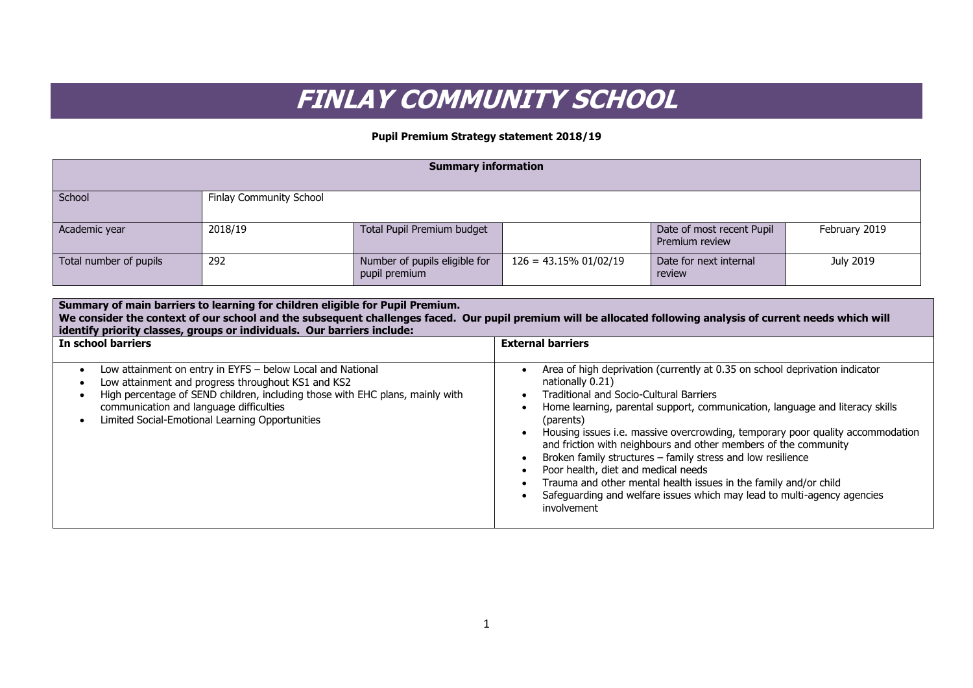## **FINLAY COMMUNITY SCHOOL**

## **Pupil Premium Strategy statement 2018/19**

| <b>Summary information</b> |                         |                                                |                          |                                             |               |
|----------------------------|-------------------------|------------------------------------------------|--------------------------|---------------------------------------------|---------------|
| School                     | Finlay Community School |                                                |                          |                                             |               |
| Academic year              | 2018/19                 | Total Pupil Premium budget                     |                          | Date of most recent Pupil<br>Premium review | February 2019 |
| Total number of pupils     | 292                     | Number of pupils eligible for<br>pupil premium | $126 = 43.15\% 01/02/19$ | Date for next internal<br>review            | July 2019     |

| Summary of main barriers to learning for children eligible for Pupil Premium.<br>We consider the context of our school and the subsequent challenges faced. Our pupil premium will be allocated following analysis of current needs which will<br>identify priority classes, groups or individuals. Our barriers include: |                                                                                                                                                                                                                                                                                                                                                                                                                                                                                                                                                                                                                                                                         |  |  |
|---------------------------------------------------------------------------------------------------------------------------------------------------------------------------------------------------------------------------------------------------------------------------------------------------------------------------|-------------------------------------------------------------------------------------------------------------------------------------------------------------------------------------------------------------------------------------------------------------------------------------------------------------------------------------------------------------------------------------------------------------------------------------------------------------------------------------------------------------------------------------------------------------------------------------------------------------------------------------------------------------------------|--|--|
| In school barriers                                                                                                                                                                                                                                                                                                        | <b>External barriers</b>                                                                                                                                                                                                                                                                                                                                                                                                                                                                                                                                                                                                                                                |  |  |
| Low attainment on entry in EYFS - below Local and National<br>Low attainment and progress throughout KS1 and KS2<br>High percentage of SEND children, including those with EHC plans, mainly with<br>communication and language difficulties<br>Limited Social-Emotional Learning Opportunities                           | Area of high deprivation (currently at 0.35 on school deprivation indicator<br>nationally 0.21)<br><b>Traditional and Socio-Cultural Barriers</b><br>Home learning, parental support, communication, language and literacy skills<br>(parents)<br>Housing issues i.e. massive overcrowding, temporary poor quality accommodation<br>and friction with neighbours and other members of the community<br>Broken family structures - family stress and low resilience<br>Poor health, diet and medical needs<br>Trauma and other mental health issues in the family and/or child<br>Safeguarding and welfare issues which may lead to multi-agency agencies<br>involvement |  |  |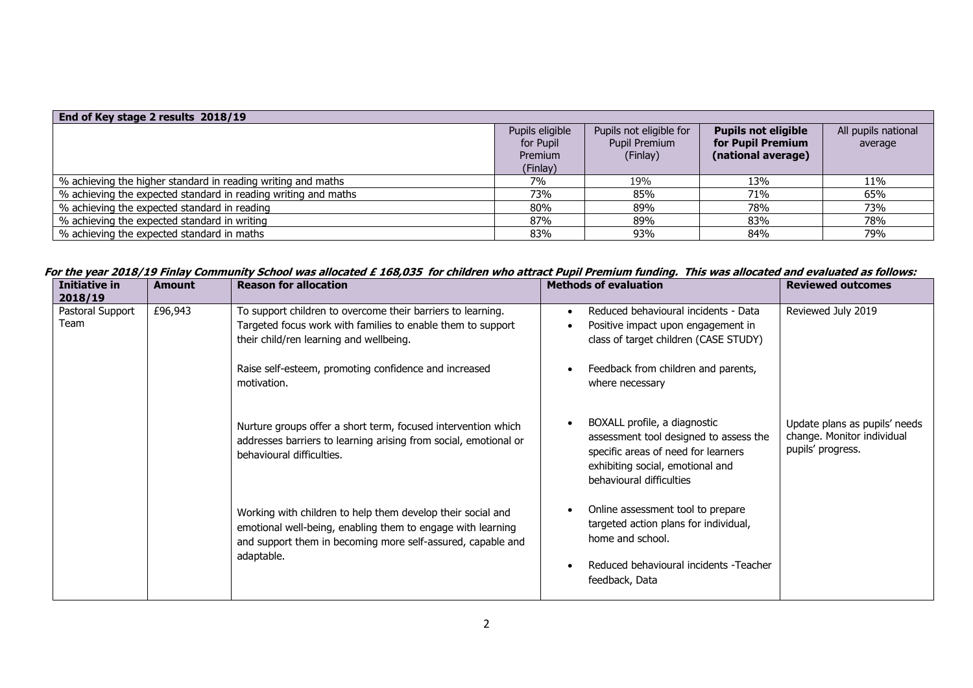| End of Key stage 2 results 2018/19                             |                 |                         |                            |                     |
|----------------------------------------------------------------|-----------------|-------------------------|----------------------------|---------------------|
|                                                                | Pupils eligible | Pupils not eligible for | <b>Pupils not eligible</b> | All pupils national |
|                                                                | for Pupil       | Pupil Premium           | for Pupil Premium          | average             |
|                                                                | Premium         | (Finlay)                | (national average)         |                     |
|                                                                | (Finlay)        |                         |                            |                     |
| % achieving the higher standard in reading writing and maths   | 7%              | 19%                     | 13%                        | 11%                 |
| % achieving the expected standard in reading writing and maths | 73%             | 85%                     | 71%                        | 65%                 |
| % achieving the expected standard in reading                   | 80%             | 89%                     | 78%                        | 73%                 |
| % achieving the expected standard in writing                   | 87%             | 89%                     | 83%                        | 78%                 |
| % achieving the expected standard in maths                     | 83%             | 93%                     | 84%                        | 79%                 |

**For the year 2018/19 Finlay Community School was allocated £ 168,035 for children who attract Pupil Premium funding. This was allocated and evaluated as follows:**

| To support children to overcome their barriers to learning.<br>Reduced behavioural incidents - Data<br>Reviewed July 2019                                                                        |                                                                                                                                                                                                                                                                                                                                                                                                                                                                                                                                                                                                      |
|--------------------------------------------------------------------------------------------------------------------------------------------------------------------------------------------------|------------------------------------------------------------------------------------------------------------------------------------------------------------------------------------------------------------------------------------------------------------------------------------------------------------------------------------------------------------------------------------------------------------------------------------------------------------------------------------------------------------------------------------------------------------------------------------------------------|
| class of target children (CASE STUDY)                                                                                                                                                            |                                                                                                                                                                                                                                                                                                                                                                                                                                                                                                                                                                                                      |
| where necessary                                                                                                                                                                                  |                                                                                                                                                                                                                                                                                                                                                                                                                                                                                                                                                                                                      |
| change. Monitor individual<br>assessment tool designed to assess the<br>pupils' progress.<br>specific areas of need for learners<br>exhibiting social, emotional and<br>behavioural difficulties |                                                                                                                                                                                                                                                                                                                                                                                                                                                                                                                                                                                                      |
| Online assessment tool to prepare<br>targeted action plans for individual,<br>home and school.<br>Reduced behavioural incidents -Teacher<br>feedback, Data                                       |                                                                                                                                                                                                                                                                                                                                                                                                                                                                                                                                                                                                      |
| their child/ren learning and wellbeing.                                                                                                                                                          | Targeted focus work with families to enable them to support<br>Positive impact upon engagement in<br>Raise self-esteem, promoting confidence and increased<br>Feedback from children and parents,<br>BOXALL profile, a diagnostic<br>Update plans as pupils' needs<br>Nurture groups offer a short term, focused intervention which<br>addresses barriers to learning arising from social, emotional or<br>Working with children to help them develop their social and<br>emotional well-being, enabling them to engage with learning<br>and support them in becoming more self-assured, capable and |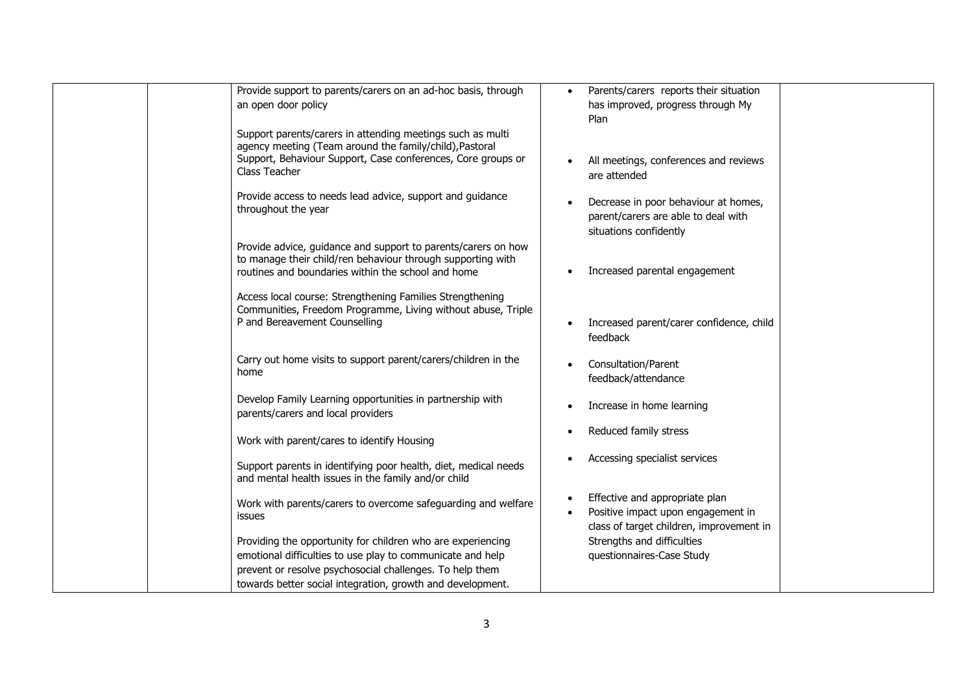| Provide support to parents/carers on an ad-hoc basis, through          | Parents/carers reports their situation                |
|------------------------------------------------------------------------|-------------------------------------------------------|
| an open door policy                                                    | has improved, progress through My                     |
|                                                                        | Plan                                                  |
| Support parents/carers in attending meetings such as multi             |                                                       |
| agency meeting (Team around the family/child), Pastoral                |                                                       |
| Support, Behaviour Support, Case conferences, Core groups or           | All meetings, conferences and reviews                 |
| Class Teacher                                                          | are attended                                          |
|                                                                        |                                                       |
| Provide access to needs lead advice, support and guidance              | Decrease in poor behaviour at homes,                  |
| throughout the year                                                    | parent/carers are able to deal with                   |
|                                                                        | situations confidently                                |
| Provide advice, guidance and support to parents/carers on how          |                                                       |
| to manage their child/ren behaviour through supporting with            |                                                       |
| routines and boundaries within the school and home                     | Increased parental engagement                         |
|                                                                        |                                                       |
| Access local course: Strengthening Families Strengthening              |                                                       |
| Communities, Freedom Programme, Living without abuse, Triple           |                                                       |
| P and Bereavement Counselling                                          | Increased parent/carer confidence, child<br>$\bullet$ |
|                                                                        | feedback                                              |
|                                                                        |                                                       |
| Carry out home visits to support parent/carers/children in the<br>home | Consultation/Parent                                   |
|                                                                        | feedback/attendance                                   |
| Develop Family Learning opportunities in partnership with              |                                                       |
| parents/carers and local providers                                     | Increase in home learning                             |
|                                                                        |                                                       |
| Work with parent/cares to identify Housing                             | Reduced family stress                                 |
|                                                                        |                                                       |
| Support parents in identifying poor health, diet, medical needs        | Accessing specialist services                         |
| and mental health issues in the family and/or child                    |                                                       |
|                                                                        |                                                       |
| Work with parents/carers to overcome safeguarding and welfare          | Effective and appropriate plan                        |
| issues                                                                 | Positive impact upon engagement in                    |
|                                                                        | class of target children, improvement in              |
| Providing the opportunity for children who are experiencing            | Strengths and difficulties                            |
| emotional difficulties to use play to communicate and help             | questionnaires-Case Study                             |
| prevent or resolve psychosocial challenges. To help them               |                                                       |
| towards better social integration, growth and development.             |                                                       |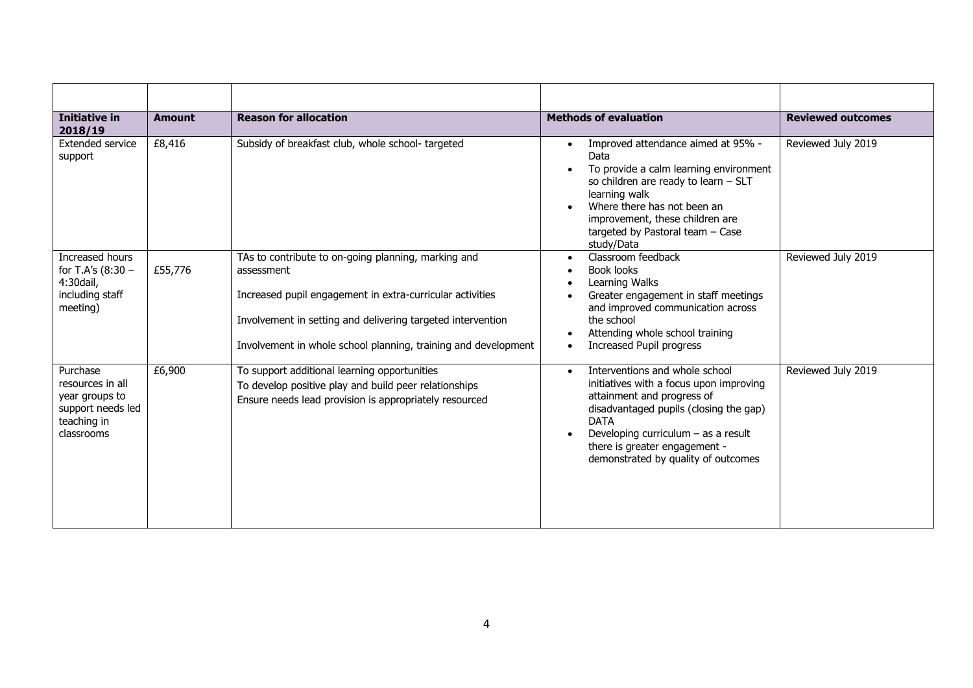| <b>Initiative in</b><br>2018/19                                                                  | <b>Amount</b> | <b>Reason for allocation</b>                                                                                                                                                                                                                                    | <b>Methods of evaluation</b>                                                                                                                                                                                                                                                                   | <b>Reviewed outcomes</b> |
|--------------------------------------------------------------------------------------------------|---------------|-----------------------------------------------------------------------------------------------------------------------------------------------------------------------------------------------------------------------------------------------------------------|------------------------------------------------------------------------------------------------------------------------------------------------------------------------------------------------------------------------------------------------------------------------------------------------|--------------------------|
| Extended service<br>support                                                                      | £8,416        | Subsidy of breakfast club, whole school-targeted                                                                                                                                                                                                                | Improved attendance aimed at 95% -<br>Data<br>To provide a calm learning environment<br>so children are ready to learn - SLT<br>learning walk<br>Where there has not been an<br>improvement, these children are<br>targeted by Pastoral team - Case<br>study/Data                              | Reviewed July 2019       |
| Increased hours<br>for T.A's (8:30 -<br>4:30dail,<br>including staff<br>meeting)                 | £55,776       | TAs to contribute to on-going planning, marking and<br>assessment<br>Increased pupil engagement in extra-curricular activities<br>Involvement in setting and delivering targeted intervention<br>Involvement in whole school planning, training and development | Classroom feedback<br>$\bullet$<br>Book looks<br>Learning Walks<br>Greater engagement in staff meetings<br>and improved communication across<br>the school<br>Attending whole school training<br>Increased Pupil progress                                                                      | Reviewed July 2019       |
| Purchase<br>resources in all<br>year groups to<br>support needs led<br>teaching in<br>classrooms | £6,900        | To support additional learning opportunities<br>To develop positive play and build peer relationships<br>Ensure needs lead provision is appropriately resourced                                                                                                 | Interventions and whole school<br>$\bullet$<br>initiatives with a focus upon improving<br>attainment and progress of<br>disadvantaged pupils (closing the gap)<br><b>DATA</b><br>Developing curriculum $-$ as a result<br>there is greater engagement -<br>demonstrated by quality of outcomes | Reviewed July 2019       |